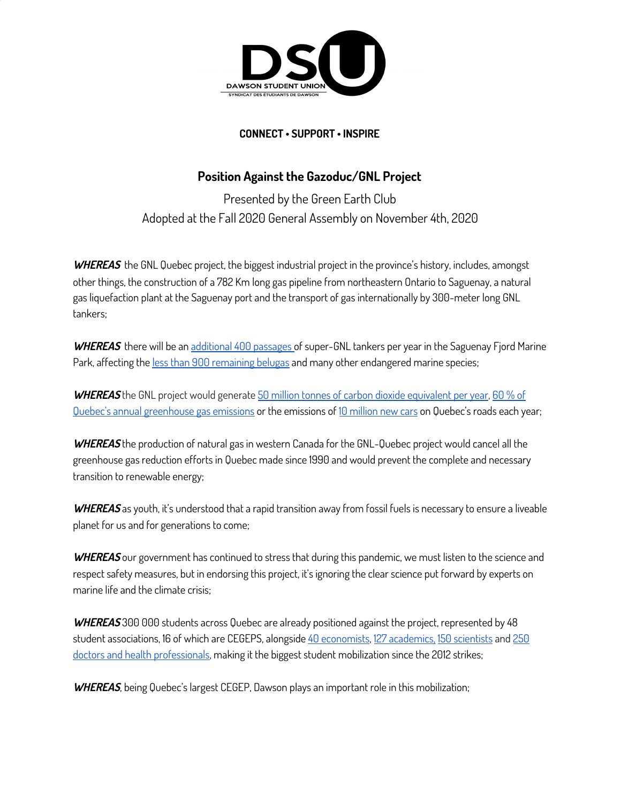

## **CONNECT • SUPPORT • INSPIRE**

## **Position Against the Gazoduc/GNL Project**

Presented by the Green Earth Club Adopted at the Fall 2020 General Assembly on November 4th, 2020

**WHEREAS** the GNL Quebec project, the biggest industrial project in the province's history, includes, amongst other things, the construction of a 782 Km long gas pipeline from northeastern Ontario to Saguenay, a natural gas liquefaction plant at the Saguenay port and the transport of gas internationally by 300-meter long GNL tankers;

**WHEREAS** there will be a[n](https://www.ledevoir.com/societe/environnement/561924/impossible-d-eviter-l-habitat-du-beluga-avec-le-projet-energie-saguenay-selon-gnl-quebec) [additional](https://www.ledevoir.com/societe/environnement/561924/impossible-d-eviter-l-habitat-du-beluga-avec-le-projet-energie-saguenay-selon-gnl-quebec) 400 passages of super-GNL tankers per year in the Saguenay Fjord Marine Park, affecting the less than 900 [remaining](https://baleinesendirect.org/en/quantifying-the-number-of-belugas-in-the-st-lawrence/) belugas and many other endangered marine species;

WHEREAS the GNL project would generate 50 million tonnes of carbon dioxide [equivalent](https://docs.google.com/presentation/d/1paqSv1QWBEsOfVX__tdaQyIVn2S1X5arLoz0XLetx1U/edit?usp=sharing) per year, [60](http://www.environnement.gouv.qc.ca/changements/ges/2016/inventaire1990-2016.pdf) % of Quebec's annual [greenhouse](http://www.environnement.gouv.qc.ca/changements/ges/2016/inventaire1990-2016.pdf) gas emissions or the emissions of 10 [million](https://www.epa.gov/energy/greenhouse-gas-equivalencies-calculator) new cars on Quebec's roads each year;

**WHEREAS** the production of natural gas in western Canada for the GNL-Quebec project would cancel all the greenhouse gas reduction efforts in Quebec made since 1990 and would prevent the complete and necessary transition to renewable energy;

**WHEREAS** as youth, it's understood that a rapid transition away from fossil fuels is necessary to ensure a liveable planet for us and for generations to come;

**WHEREAS** our government has continued to stress that during this pandemic, we must listen to the science and respect safety measures, but in endorsing this project, it's ignoring the clear science put forward by experts on marine life and the climate crisis;

**WHEREAS** 300 000 students across Quebec are already positioned against the project, represented by 48 student associations, 16 of which are CEGEPS, alongside 40 [economists](https://www.lapresse.ca/actualites/2019-10-15/40-economistes-sonnent-l-alarme-contre-gnl-quebec), [1](https://www.ledevoir.com/opinion/libre-opinion/555880/le-projet-gnl-quebec-doit-etre-rejete)27 [academics,](https://ici.radio-canada.ca/nouvelle/1497712/environnement-gaz-naturel-grands-projets) 150 [scientists](https://www.ledevoir.com/opinion/libre-opinion/555880/le-projet-gnl-quebec-doit-etre-rejete) and [250](https://plus.lapresse.ca/screens/92908d83-368d-4056-a682-56f89b623049__7C___0.html) doctors and health [professionals,](https://plus.lapresse.ca/screens/92908d83-368d-4056-a682-56f89b623049__7C___0.html) making it the biggest student mobilization since the 2012 strikes;

**WHEREAS**, being Quebec's largest CEGEP, Dawson plays an important role in this mobilization;